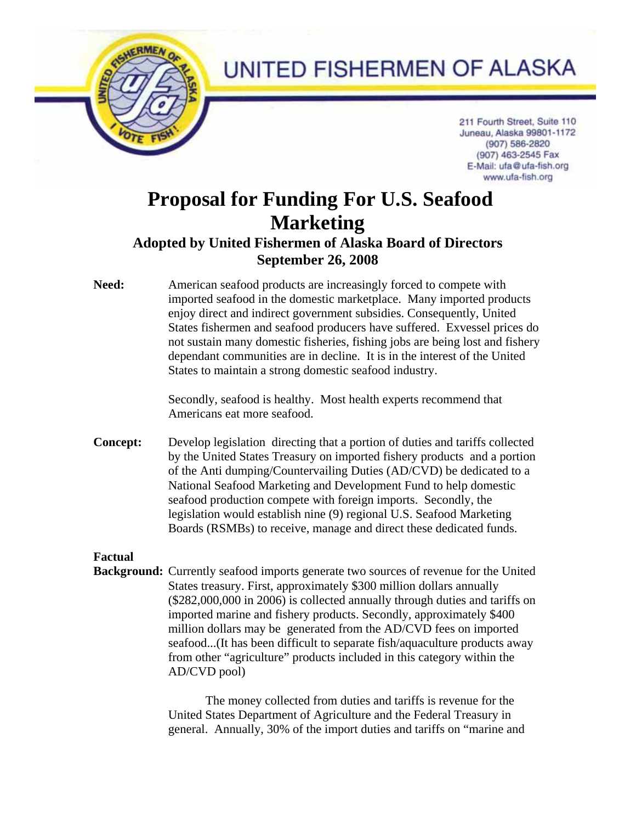

## UNITED FISHERMEN OF ALASKA

211 Fourth Street, Suite 110 Juneau, Alaska 99801-1172 (907) 586-2820 (907) 463-2545 Fax E-Mail: ufa@ufa-fish.org www.ufa-fish.org

# **Proposal for Funding For U.S. Seafood Marketing**

## **Adopted by United Fishermen of Alaska Board of Directors September 26, 2008**

**Need:** American seafood products are increasingly forced to compete with imported seafood in the domestic marketplace. Many imported products enjoy direct and indirect government subsidies. Consequently, United States fishermen and seafood producers have suffered. Exvessel prices do not sustain many domestic fisheries, fishing jobs are being lost and fishery dependant communities are in decline. It is in the interest of the United States to maintain a strong domestic seafood industry.

> Secondly, seafood is healthy. Most health experts recommend that Americans eat more seafood.

**Concept:** Develop legislation directing that a portion of duties and tariffs collected by the United States Treasury on imported fishery products and a portion of the Anti dumping/Countervailing Duties (AD/CVD) be dedicated to a National Seafood Marketing and Development Fund to help domestic seafood production compete with foreign imports. Secondly, the legislation would establish nine (9) regional U.S. Seafood Marketing Boards (RSMBs) to receive, manage and direct these dedicated funds.

### **Factual**

**Background:** Currently seafood imports generate two sources of revenue for the United States treasury. First, approximately \$300 million dollars annually (\$282,000,000 in 2006) is collected annually through duties and tariffs on imported marine and fishery products. Secondly, approximately \$400 million dollars may be generated from the AD/CVD fees on imported seafood...(It has been difficult to separate fish/aquaculture products away from other "agriculture" products included in this category within the AD/CVD pool)

> The money collected from duties and tariffs is revenue for the United States Department of Agriculture and the Federal Treasury in general. Annually, 30% of the import duties and tariffs on "marine and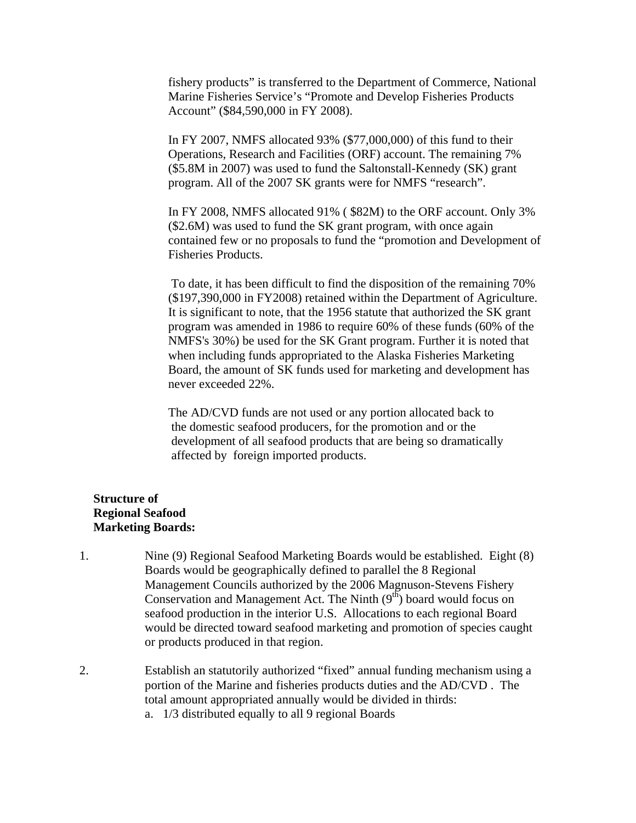fishery products" is transferred to the Department of Commerce, National Marine Fisheries Service's "Promote and Develop Fisheries Products Account" (\$84,590,000 in FY 2008).

In FY 2007, NMFS allocated 93% (\$77,000,000) of this fund to their Operations, Research and Facilities (ORF) account. The remaining 7% (\$5.8M in 2007) was used to fund the Saltonstall-Kennedy (SK) grant program. All of the 2007 SK grants were for NMFS "research".

In FY 2008, NMFS allocated 91% ( \$82M) to the ORF account. Only 3% (\$2.6M) was used to fund the SK grant program, with once again contained few or no proposals to fund the "promotion and Development of Fisheries Products.

 To date, it has been difficult to find the disposition of the remaining 70% (\$197,390,000 in FY2008) retained within the Department of Agriculture. It is significant to note, that the 1956 statute that authorized the SK grant program was amended in 1986 to require 60% of these funds (60% of the NMFS's 30%) be used for the SK Grant program. Further it is noted that when including funds appropriated to the Alaska Fisheries Marketing Board, the amount of SK funds used for marketing and development has never exceeded 22%.

 The AD/CVD funds are not used or any portion allocated back to the domestic seafood producers, for the promotion and or the development of all seafood products that are being so dramatically affected by foreign imported products.

#### **Structure of Regional Seafood Marketing Boards:**

- 1. Nine (9) Regional Seafood Marketing Boards would be established. Eight (8) Boards would be geographically defined to parallel the 8 Regional Management Councils authorized by the 2006 Magnuson-Stevens Fishery Conservation and Management Act. The Ninth (9<sup>th</sup>) board would focus on seafood production in the interior U.S. Allocations to each regional Board would be directed toward seafood marketing and promotion of species caught or products produced in that region.
- 2. Establish an statutorily authorized "fixed" annual funding mechanism using a portion of the Marine and fisheries products duties and the AD/CVD . The total amount appropriated annually would be divided in thirds: a. 1/3 distributed equally to all 9 regional Boards